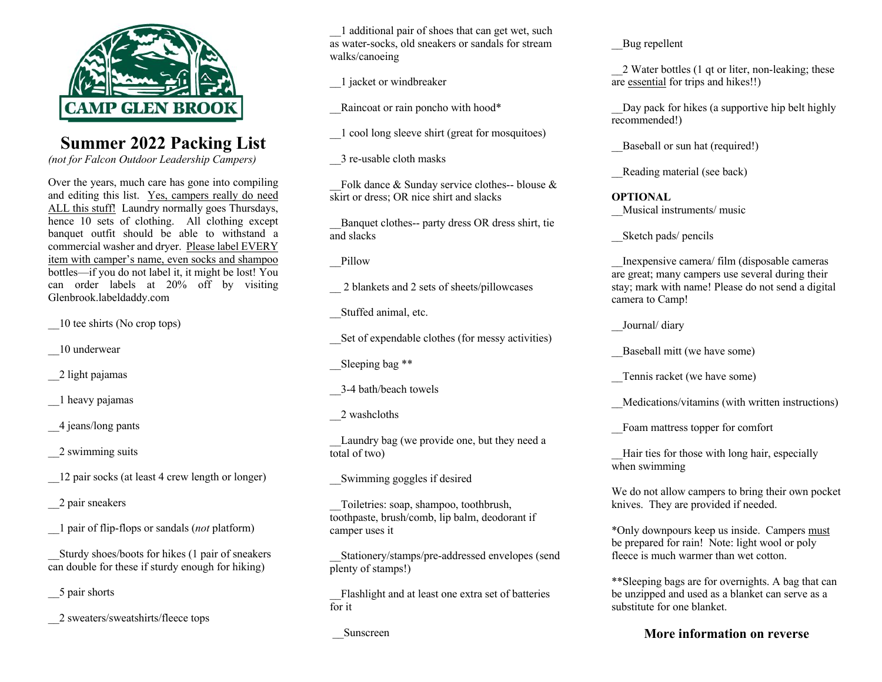

# **Summer 2022 Packing List**

*(not for Falcon Outdoor Leadership Campers)*

Over the years, much care has gone into compiling and editing this list. Yes, campers really do need ALL this stuff! Laundry normally goes Thursdays, hence 10 sets of clothing. All clothing except banquet outfit should be able to withstand a commercial washer and dryer. Please label EVERY item with camper's name, even socks and shampoo bottles—if you do not label it, it might be lost! You can order labels at 20% off by visiting Glenbrook.labeldaddy.com

\_\_10 tee shirts (No crop tops)

- \_\_10 underwear
- \_\_2 light pajamas

\_\_1 heavy pajamas

\_\_4 jeans/long pants

\_\_2 swimming suits

\_\_12 pair socks (at least 4 crew length or longer)

\_\_2 pair sneakers

\_\_1 pair of flip-flops or sandals (*not* platform)

\_\_Sturdy shoes/boots for hikes (1 pair of sneakers can double for these if sturdy enough for hiking)

\_\_5 pair shorts

\_\_2 sweaters/sweatshirts/fleece tops

\_\_1 additional pair of shoes that can get wet, such as water-socks, old sneakers or sandals for stream walks/canoeing

\_\_1 jacket or windbreaker

Raincoat or rain poncho with hood\*

\_\_1 cool long sleeve shirt (great for mosquitoes)

\_\_3 re-usable cloth masks

Folk dance  $&$  Sunday service clothes-- blouse  $&$ skirt or dress; OR nice shirt and slacks

\_\_Banquet clothes-- party dress OR dress shirt, tie and slacks

\_\_Pillow

\_\_ 2 blankets and 2 sets of sheets/pillowcases

\_\_Stuffed animal, etc.

\_\_Set of expendable clothes (for messy activities)

Sleeping bag \*\*

\_\_3-4 bath/beach towels

\_\_2 washcloths

Laundry bag (we provide one, but they need a total of two)

\_\_Swimming goggles if desired

\_\_Toiletries: soap, shampoo, toothbrush, toothpaste, brush/comb, lip balm, deodorant if camper uses it

\_\_Stationery/stamps/pre-addressed envelopes (send plenty of stamps!)

Flashlight and at least one extra set of batteries for it

\_\_Sunscreen

Bug repellent

\_\_2 Water bottles (1 qt or liter, non-leaking; these are essential for trips and hikes!!)

Day pack for hikes (a supportive hip belt highly recommended!)

Baseball or sun hat (required!)

Reading material (see back)

**OPTIONAL** \_\_Musical instruments/ music

\_\_Sketch pads/ pencils

\_\_Inexpensive camera/ film (disposable cameras are great; many campers use several during their stay; mark with name! Please do not send a digital camera to Camp!

\_\_Journal/ diary

Baseball mitt (we have some)

Tennis racket (we have some)

\_\_Medications/vitamins (with written instructions)

\_\_Foam mattress topper for comfort

Hair ties for those with long hair, especially when swimming

We do not allow campers to bring their own pocket knives. They are provided if needed.

\*Only downpours keep us inside. Campers must be prepared for rain! Note: light wool or poly fleece is much warmer than wet cotton.

\*\*Sleeping bags are for overnights. A bag that can be unzipped and used as a blanket can serve as a substitute for one blanket.

### **More information on reverse**